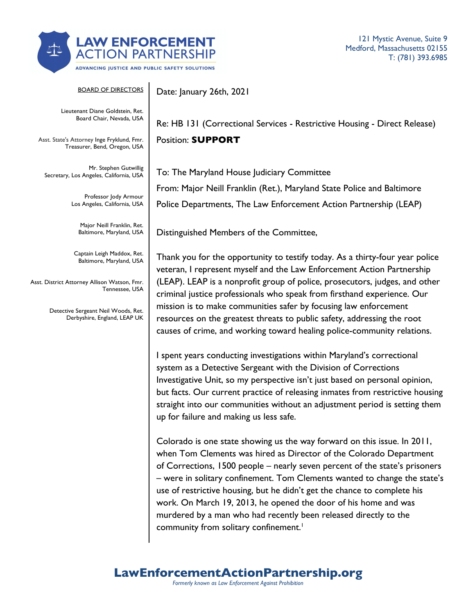

121 Mystic Avenue, Suite 9 Medford, Massachusetts 02155 T: (781) 393.6985

BOARD OF DIRECTORS Lieutenant Diane Goldstein, Ret. Board Chair, Nevada, USA Asst. State's Attorney Inge Fryklund, Fmr. Treasurer, Bend, Oregon, USA Mr. Stephen Gutwillig Secretary, Los Angeles, California, USA Professor Jody Armour Los Angeles, California, USA Major Neill Franklin, Ret. Baltimore, Maryland, USA Captain Leigh Maddox, Ret. Baltimore, Maryland, USA Asst. District Attorney Allison Watson, Fmr. Tennessee, USA Detective Sergeant Neil Woods, Ret. Derbyshire, England, LEAP UK Date: January 26th, 2021 Re: HB 131 (Correctional Services - Restrictive Housing - Direct Release) Position: **SUPPORT** To: The Maryland House Judiciary Committee Distinguished Members of the Committee, up for failure and making us less safe.

From: Major Neill Franklin (Ret.), Maryland State Police and Baltimore Police Departments, The Law Enforcement Action Partnership (LEAP)

Thank you for the opportunity to testify today. As a thirty-four year police veteran, I represent myself and the Law Enforcement Action Partnership (LEAP). LEAP is a nonprofit group of police, prosecutors, judges, and other criminal justice professionals who speak from firsthand experience. Our mission is to make communities safer by focusing law enforcement resources on the greatest threats to public safety, addressing the root causes of crime, and working toward healing police-community relations.

I spent years conducting investigations within Maryland's correctional system as a Detective Sergeant with the Division of Corrections Investigative Unit, so my perspective isn't just based on personal opinion, but facts. Our current practice of releasing inmates from restrictive housing straight into our communities without an adjustment period is setting them

Colorado is one state showing us the way forward on this issue. In 2011, when Tom Clements was hired as Director of the Colorado Department of Corrections, 1500 people – nearly seven percent of the state's prisoners – were in solitary confinement. Tom Clements wanted to change the state's use of restrictive housing, but he didn't get the chance to complete his work. On March 19, 2013, he opened the door of his home and was murdered by a man who had recently been released directly to the community from solitary confinement.<sup>1</sup>

## **LawEnforcementActionPartnership.org**